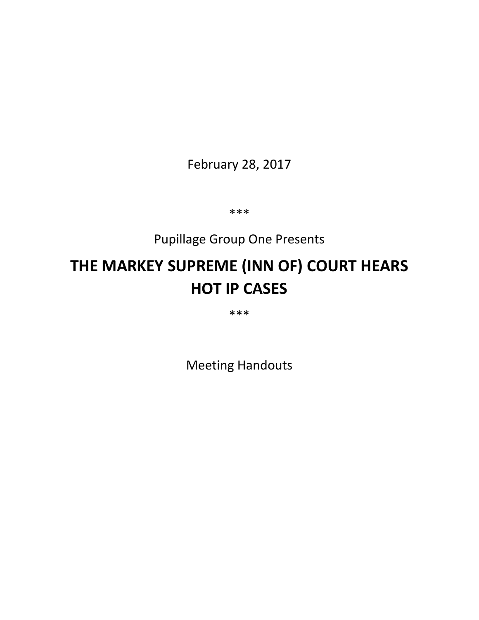February 28, 2017

\*\*\*

# Pupillage Group One Presents

# **THE MARKEY SUPREME (INN OF) COURT HEARS HOT IP CASES**

\*\*\*

Meeting Handouts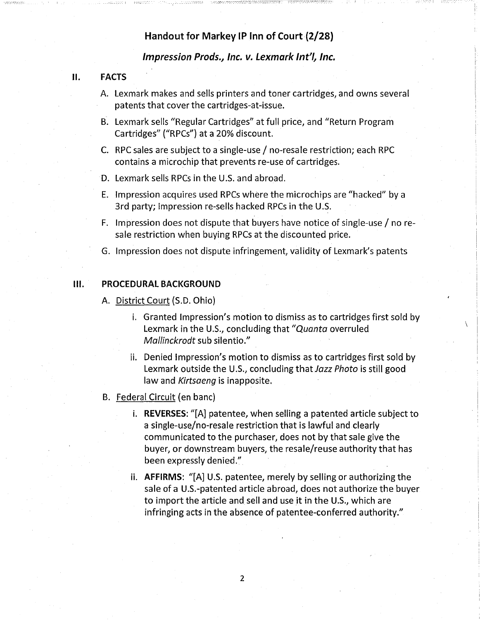# Handout for Markey IP Inn of Court (2/28)

## Impression Prods., Inc. v. Lexmark Int'/, Inc.

# 11. FACTS

I \\_-'-'. \_--

- A. Lexmark makes and sells printers and toner cartridges, and owns several patents that cover the cartridges-at-issue.
- B. Lexmark sells "Regular Cartridges" at full price, and "Return Program Cartridges" ("RPCs") at a 20% discount.
- C. RPC sales are subject to a single-use/ no-resale restriction; each RPC contains a microchip that prevents re-use of cartridges.
- D. Lexmark sells RPCs in the U.S. and abroad.
- E. Impression acquires used RPCs where the microchips are "hacked" by a 3rd party; Impression re-sells hacked RPCs in the U.S.
- F. Impression does not dispute that buyers have notice of single-use  $\sqrt{\ }$  no resale restriction when buying RPCs at the discounted price.
- G. Impression does not dispute infringement, validity of Lexmark's patents

## Ill. PROCEDURAL BACKGROUND

A. District Court (S.D. Ohio)

- i. Granted Impression's motion to dismiss as to cartridges first sold by Lexmark in the U.S., concluding that "Quanta overruled Mallinckrodt sub silentio."
- ii. Denied Impression's motion to dismiss as to cartridges first sold by Lexmark outside the U.S., concluding that Jazz Photo is still good law and Kirtsaeng is inapposite.
- B. Federal Circuit (en bane)
	- i. REVERSES: "[A] patentee, when selling a patented article subject to a single-use/no-resale restriction that is lawful and clearly communicated to the purchaser, does not by that sale give the buyer, or downstream buyers, the resale/reuse authority that has been expressly denied."
	- ii. AFFIRMS: "[A] U.S. patentee, merely by selling or authorizing the sale of a U.S.-patented article abroad, does not authorize the buyer to import the article and sell and use it in the U.S., which are infringing acts in the absence of patentee-conferred authority."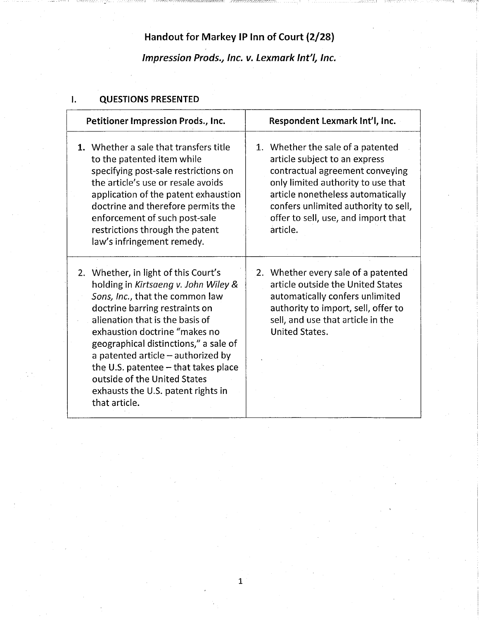# **Handout for Markey IP Inn of Court {2/28) Impression Prods.***1* **Inc. v. Lexmark lnt***<sup>1</sup> / <sup>1</sup>***Inc.**

\_\_\_\_\_ [ -----i

# **I. QUESTIONS PRESENTED**

| Petitioner Impression Prods., Inc.                                                                                                                                                                                                                                                                                                                                                                                                      |  | Respondent Lexmark Int'l, Inc.                                                                                                                                                                                                                                              |
|-----------------------------------------------------------------------------------------------------------------------------------------------------------------------------------------------------------------------------------------------------------------------------------------------------------------------------------------------------------------------------------------------------------------------------------------|--|-----------------------------------------------------------------------------------------------------------------------------------------------------------------------------------------------------------------------------------------------------------------------------|
| 1. Whether a sale that transfers title<br>to the patented item while<br>specifying post-sale restrictions on<br>the article's use or resale avoids<br>application of the patent exhaustion<br>doctrine and therefore permits the<br>enforcement of such post-sale<br>restrictions through the patent<br>law's infringement remedy.                                                                                                      |  | 1. Whether the sale of a patented<br>article subject to an express<br>contractual agreement conveying<br>only limited authority to use that<br>article nonetheless automatically<br>confers unlimited authority to sell,<br>offer to sell, use, and import that<br>article. |
| 2. Whether, in light of this Court's<br>holding in Kirtsaeng v. John Wiley &<br>Sons, Inc., that the common law<br>doctrine barring restraints on<br>alienation that is the basis of<br>exhaustion doctrine "makes no<br>geographical distinctions," a sale of<br>a patented article $-$ authorized by<br>the U.S. patentee $-$ that takes place<br>outside of the United States<br>exhausts the U.S. patent rights in<br>that article. |  | 2. Whether every sale of a patented<br>article outside the United States<br>automatically confers unlimited<br>authority to import, sell, offer to<br>sell, and use that article in the<br><b>United States.</b>                                                            |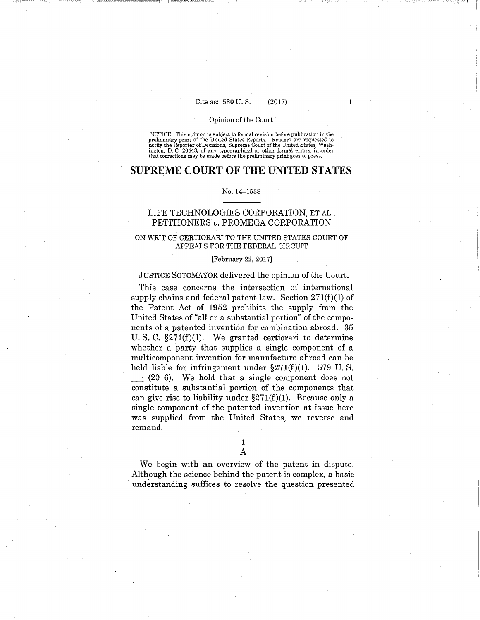## Cite as: 580 U.S.\_ (2017)

1

- ------\_:-]

#### Opinion of the Court

NOTICE: This opinion is subject to formal revision before publication in the<br>preliminary print of the United States Reports. Readers are requested to<br>notify the Reporter of Decisions, Supreme Court of the United States, Wa ington, D. C. 20543, of any typographical or other formal errors, in order that corrections may be made before the preliminary print goes to press.

# **SUPREME COURT OF THE UNITED STATES**

#### No. 14-1538

## LIFE TECHNOLOGIES CORPORATION, ET AL., PETITIONERS *v.* PROMEGA CORPORATION

## ON WRIT OF CERTIORARI TO THE UNITED STATES COURT OF APPEALS FOR THE FEDERAL CIRCUIT

#### [February 22, 2017]

#### JUSTICE SOTOMAYOR delivered the opinion of the Court.

This case concerns the intersection of international supply chains and federal patent law. Section  $271(f)(1)$  of the Patent Act of 1952 prohibits the supply from the United States of "all or a substantial portion" of the components of a patented invention for combination abroad. 35 U.S. C.  $\S271(f)(1)$ . We granted certiorari to determine whether a party that supplies a single component of a multicomponent invention for manufacture abroad can be held liable for infringement under  $\S271(f)(1)$ . 579 U.S. \_ (2016). We hold that a single component does not constitute a substantial portion of the components that can give rise to liability under  $\S271(f)(1)$ . Because only a single component of the patented invention at issue here was supplied from the United States, we reverse and remand.

> I A

We begin with an overview of the patent in dispute. Although the science behind the patent is complex, a basic understanding suffices to resolve the question presented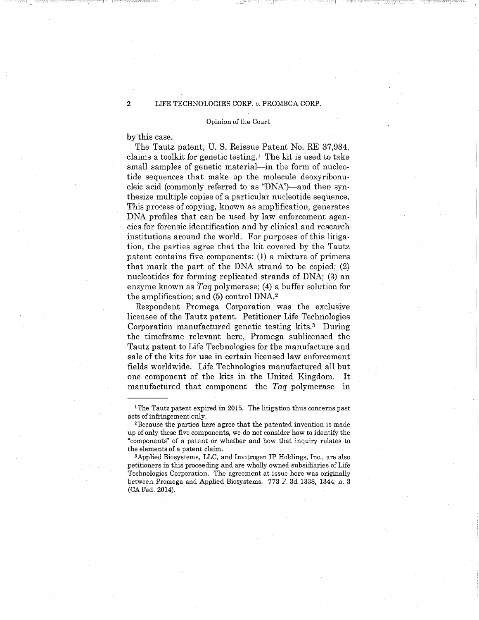#### Opinion of the Court

by this case.

 $\sim$  ,  $\sim$   $\sim$   $\sim$ 

The Tautz patent, U. S. Reissue Patent No. RE 37,984, claims a toolkit for genetic testing.<sup>1</sup> The kit is used to take small samples of genetic material—in the form of nucleotide sequences that make up the molecule deoxyribonucleic acid (commonly referred to as "DNA")—and then synthesize multiple copies of a particular nucleotide sequence. This process of copying, known as amplification, generates DNA profiles that can be used by law enforcement agencies for forensic identification and by clinical and research institutions around the world. For purposes of this litigation, the parties agree that the kit covered by the Tautz patent contains five components: (1) a mixture of primers that mark the part of the DNA strand to be copied; (2) nucleotides for forming replicated strands of DNA; (3) an enzyme known as *Taq* polymerase; (4) a buffer solution for the amplification; and (5) control DNA. <sup>2</sup>

Respondent Promega Corporation was the exclusive licensee of the Tautz patent. Petitioner Life Technologies Corporation manufactured genetic testing kits.<sup>3</sup> During the timeframe relevant here, Promega sublicensed the Tautz patent to Life Technologies for the manufacture and sale of the kits for use in certain licensed law enforcement fields worldwide. Life Technologies manufactured all but one component of the kits in the United Kingdom. It manufactured that component-the *Taq* polymerase-in

<sup>&</sup>lt;sup>1</sup>The Tautz patent expired in 2015. The litigation thus concerns past acts of infringement only.<br><sup>2</sup>Because the parties here agree that the patented invention is made

up of only these five components, we do not consider how to identify the "components" of a patent or whether and how that inquiry relates to the elements of a patent claim.

<sup>3</sup> Applied Biosystems, LLC, and Invitrogen IP Holdings, Inc., are also petitioners in this proceeding and are wholly owned subsidiaries of Life Technologies Corporation. The agreement at issue here was originally between Promega and Applied Biosystems. 773 F. 3d 1338, 1344, n. 3 (CA Fed. 2014).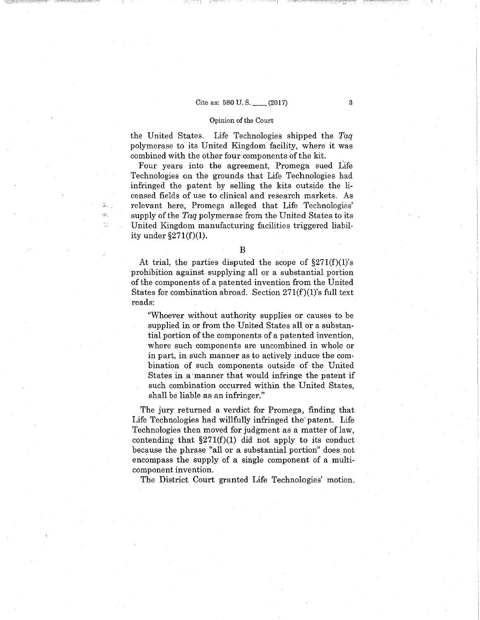## Cite as: 580 U.S. (2017) 3

#### Opinion of the Court

the United States. Life Technologies shipped the *Taq*  polymerase to its United Kingdom facility, where it was combined with the other four components of the kit.

Four years into the agreement, Promega sued Life Technologies on the grounds that Life Technologies had infringed the patent by selling the kits outside the licensed fields of use to clinical and research markets. As relevant here, Promega alleged that Life Technologies' supply of the *Taq* polymerase from the United States to its United Kingdom manufacturing facilities triggered liability under  $\S271(f)(1)$ .

At trial, the parties disputed the scope of  $$271(f)(1)$ 's prohibition against supplying all or a substantial portion of the components of a patented invention from the United States for combination abroad. Section  $271(f)(1)$ 's full text reads:

"Whoever without authority supplies or causes to be supplied in or from the United States all or a substantial portion of the components of a patented invention, where such components are uncombined in whole or in part, in such manner as to actively induce the combination of such components outside of the United States in a manner that would infringe the patent if such combination occurred within the United States, shall be liable as an infringer."

The jury returned a verdict for Promega, finding that Life Technologies had willfully infringed the' patent. Life Technologies then moved for judgment as a matter of law, contending that  $\S271(f)(1)$  did not apply to its conduct because the phrase "all or a substantial portion" does not encompass the supply of a single component of a multicomponent invention.

The District Court granted Life Technologies' motion.

B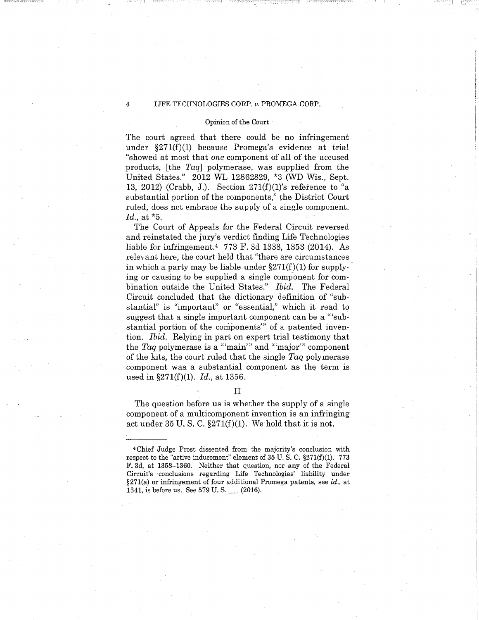#### Opinion of the Court

The court agreed that there could be no infringement under §271(f)(l) because Promega's evidence at trial "showed at most that *one* component of all of the accused products, [the *Taq]* polymerase, was supplied from the United States." 2012 WL 12862829, \*3 (WD Wis., Sept. 13, 2012) (Crabb, J.). Section  $271(f)(1)$ 's reference to "a substantial portion of the components," the District Court ruled, does not embrace the supply of a single component. *Id.,* at \*5.

The Court of Appeals for the Federal Circuit reversed and reinstated the jury's verdict finding Life Technologies liable for infringement. 4 773 F. 3d 1338, 1353 (2014). As relevant here, the court held that "there are circumstances in which a party may be liable under  $\S 271(f)(1)$  for supplying or causing to be supplied a single component for combination outside the United States." *Ibid.* The Federal Circuit concluded that the dictionary definition of "substantiaf' is "important" or "essential," which it read to suggest that a single important component can be a "substantial portion of the components"' of a patented invention. *Ibid.* Relying in part on expert trial testimony that the *Taq* polymerase is a "'main'" and "'major'" component of the kits, the court ruled that the single *Taq* polymerase component was a substantial component as the term is used in §271(f)(l). *Id.,* at 1356.

## II

The question before us is whether the supply of a single component of a multicomponent invention is an infringing act under 35 U.S. C.  $\S271(f)(1)$ . We hold that it is not.

<sup>4</sup>Chief Judge Prost dissented from the majority's conclusion with respect to the "active inducement" element of  $35$  U.S. C.  $\S 271(f)(1)$ . 773 F. 3d, at 1358-1360. Neither that question, nor any of the Federal Circuit's conclusions regarding Life Technologies' liability under  $\S271(a)$  or infringement of four additional Promega patents, see id., at 1341, is before us. See 579 U.S. \_\_ (2016).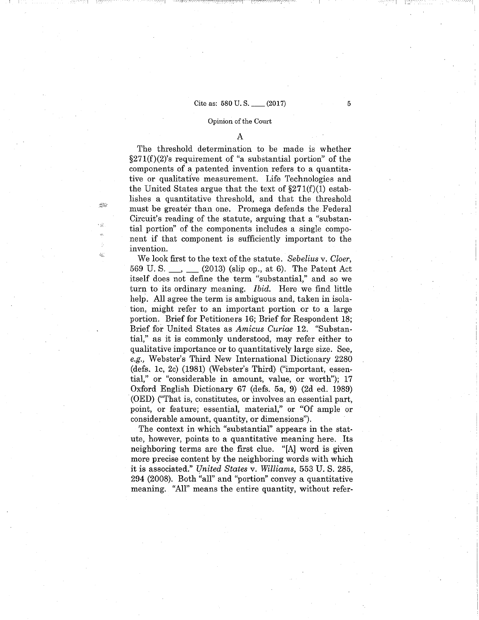## Cite as:  $580 \text{ U.S.}$  (2017) 5

I I

 $\mathcal{B}^{\mathcal{R}}_{\mathcal{A}}$ 

∙ģ§

 $\hat{c}^{(1)}_{\vec{q},\vec{q}_1}$ 

#### Opinion of the Court

A

The threshold determination to be made is whether  $\S271(f)(2)$ 's requirement of "a substantial portion" of the components of a patented invention refers to a quantitative or qualitative measurement. Life Technologies and the United States argue that the text of  $\S 271(f)(1)$  establishes a quantitative threshold, and that the threshold must be greater than one. Promega defends the. Federal Circuit's reading of the statute, arguing that a "substantial portion" of the components includes a single component if that component is sufficiently important to the invention.

We look first to the text of the statute. *Sebelius* v. *Cloer,*  569 U.S. \_, \_ (2013) (slip op., at 6). The Patent Act itself does not define the term "substantial,'' and so we turn to its ordinary meaning. *Ibid.* Here we find little help. All agree the term is ambiguous and, taken in isolation, might refer to an important portion or to a large portion. Brief for Petitioners 16; Brief for Respondent 18; Brief for United States as *Amicus Curiae* 12. "Substantial," as it is commonly understood, may refer either to qualitative importance or to quantitatively large size. See, *e.g.,* Webster's Third New International Dictionary 2280 (defs. le, 2c) (1981) (Webster's Third) ("important, essential,'' or "considerable in amount, value, or worth"); 17 Oxford English Dictionary 67 (defs. 5a, 9) (2d ed. 1989) (OED) ("That is, constitutes, or involves an essential part, point, or feature; essential, material," or "Of ample or considerable amount, quantity, or dimensions").

The context in which "substantial" appears in the statute, however, points to a quantitative meaning here. Its neighboring terms are the first clue. "[A] word is given more precise content by the neighboring words with which it is associated." *United States* v. *Williams,* 553 U. S. 285, 294 (2008). Both "all" and "portion" convey a quantitative meaning. "All" means the entire quantity, without refer: ~--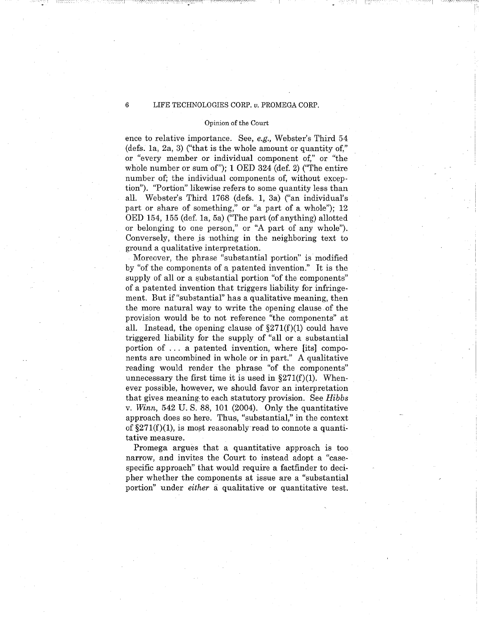$\sim$ 

## Opinion of the Court

ence to relative importance. See, *e.g.,* Webster's Third 54 (defs. la, 2a, 3) ("that is the whole amount or quantity of," or "every member or individual component of," or "the whole number or sum of"); 1 OED 324 (def. 2) ("The entire number of; the individual components of, without exception''). "Portion" likewise refers to some quantity less than all. Webster's Third 1768 (defs. 1, 3a) ("an individual's part or share of something," or "a part of a whole"); 12 OED 154, 155 (def. la, 5a) ("The part (of anything) allotted or belonging to one person," or "A part of any whole"). Conversely, there js nothing in the neighboring text to ground a qualitative interpretation.

Moreover, the phrase "substantial portion" is modified by "of the components of a patented invention." It is the supply of all or a substantial portion "of the components" of a patented invention that triggers liability for infringement. But if "substantial" has a qualitative meaning, then the more natural way to write the opening clause of the provision would be to not reference "the components" at all. Instead, the opening clause of  $\S271(f)(1)$  could have triggered liability for the supply of "all or a substantial portion of ... a patented invention, where [its] components are uncombined in whole or in part." A qualitative reading would render the phrase "of the components" unnecessary the first time it is used in  $\S271(f)(1)$ . Whenever possible, however, we should favor an interpretation that gives meaning: to each statutory provision. See *Hibbs*  v. *Winn,* 542 U.S. 88, 101 (2004). Only the quantitative approach does so here. Thus, "substantial," in the context of  $\S271(f)(1)$ , is most reasonably read to connote a quantitative measure.

Promega argues that a quantitative approach is too narrow, and invites the Court to instead adopt a "casespecific approach" that would require a factfinder to decipher whether the components at issue are a "substantial portion" under *either* a qualitative or quantitative test.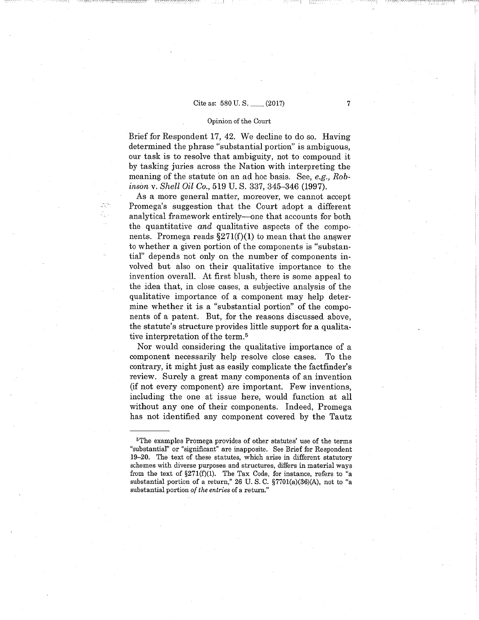## Cite as: 580 U.S. \_\_ (2017)

.," \_\_\_\_\_\_ ] I i\_ -~ - -

## Opinion of the Court

Brief for Respondent 17, 42. We decline to do so. Having determined the phrase "substantial portion" is ambiguous, our task is to resolve that ambiguity, not to compound it by tasking juries across the Nation with interpreting the meaning of the statute on an ad hoc basis. See, *e.g., Robinson* v. *Shell Oil Co.,* 519 U.S. 337, 345-346 (1997).

As a more general matter, moreover, we cannot accept Promega's suggestion that the Court adopt a different analytical framework entirely—one that accounts for both the quantitative *and* qualitative aspects of the components. Promega reads  $\S271(f)(1)$  to mean that the answer to whether a given portion of the components is "substantial" depends not only on the number of components involved but also on their qualitative importance to the invention overall. At first blush, there is some appeal to the idea that, in close cases, a subjective analysis of the qualitative importance of a component may help determine whether it is a "substantial portion" of the components of a patent. But, for the reasons discussed above, the statute's structure provides little support for a qualitative interpretation of the term. 5

Nor would considering the qualitative importance of a component necessarily help resolve close cases. To the contrary, it might just as easily complicate the factfinder's review. Surely a great many components of an invention (if not every component) are important. Few inventions, including the one at issue here, would function at all without any one of their components. Indeed, Promega has not identified any component covered by the Tautz

<sup>&</sup>lt;sup>5</sup>The examples Promega provides of other statutes' use of the terms "substantiaf' or "significant" are inapposite. See Brief for Respondent 19-20. The text of these statutes, which arise in different statutory schemes with diverse purposes and structures, differs in material ways from the text of  $\S271(f)(1)$ . The Tax Code, for instance, refers to "a substantial portion of a return," 26 U. S. C. §7701(a)(36)(A), not to "a substantial portion *of the entries* of a return."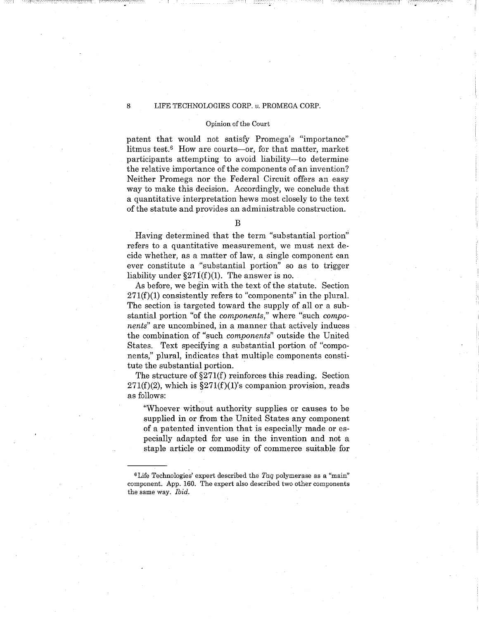$\parallel$ 

#### Opinion of the Court

patent that would not satisfy Promega's "importance" litmus test.6 How are courts-or, for that matter, market participants attempting to avoid liability—to determine the relative importance of the components of an invention? Neither Promega nor the Federal Circuit offers an easy way to make this decision. Accordingly, we conclude that a quantitative interpretation hews most closely to the text of the statute and provides an administrable construction.

B

Having determined that the term "substantial portion" refers to a quantitative measurement, we must next decide whether, as a matter of law, a single component can ever constitute a "substantial portion" so as to trigger liability under  $\S27I(f)(1)$ . The answer is no.

As before, we begin with the text of the statute. Section  $271(f)(1)$  consistently refers to "components" in the plural. The section is targeted toward the supply of all or a substantial portion "of the *components,"* where "such *components"* are uncombined, in a manner that actively induces the combination of "such *components"* outside the United States. Text specifying a substantial portion of "components," plural, indicates that multiple components constitute the substantial portion.

The structure of §271(f) reinforces this reading. Section  $271(f)(2)$ , which is  $\S271(f)(1)$ 's companion provision, reads as follows:

"Whoever without authority supplies or causes to be supplied in or from the United States any component of a patented invention that is especially made or especially adapted for use in the invention and not a staple article or commodity of commerce suitable for

<sup>6</sup> Life Technologies' expert described the *Taq* polymerase as a "main" component. App. 160. The expert also described two other components the same way. Ibid.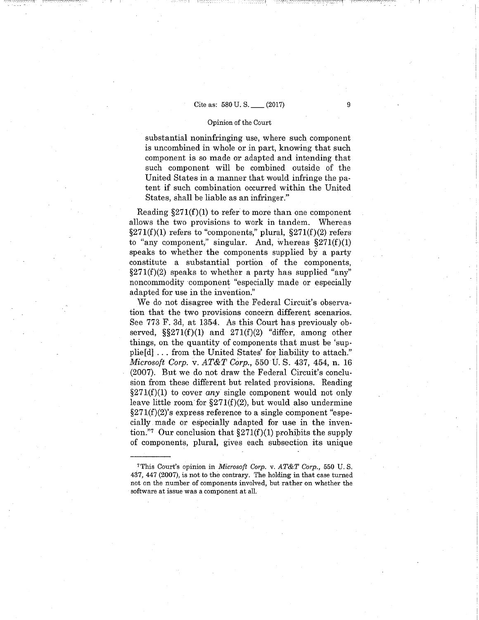## Cite as:  $580 \text{ U.S.}$  (2017) 9

## Opinion of the Court

substantial noninfringing use, where such component is uncombined in whole or in part, knowing that such component is so made or adapted and intending that such component will be combined outside of the United States in a manner that would infringe the patent if such combination occurred within the United States, shall be liable as an infringer."

Reading  $\S 271(f)(1)$  to refer to more than one component allows the two provisions to work in tandem. Whereas  $\S 271(f)(1)$  refers to "components," plural,  $\S 271(f)(2)$  refers to "any component," singular. And, whereas  $\S 271(f)(1)$ speaks to whether the components supplied by a party constitute a substantial portion of the components,  $\S 271(f)(2)$  speaks to whether a party has supplied "any" noncommodity component "especially made or especially adapted for use in the invention."

We do not disagree with the Federal Circuit's observation that the two provisions concern different scenarios. See 773 F. 3d, at 1354. As this Court has previously observed,  $\S$  $271(f)(1)$  and  $271(f)(2)$  "differ, among other things, on the quantity of components that must be 'supplie[d] ... from the United States' for liability to attach." *Microsoft Corp. v. AT&T Corp.*, 550 U. S. 437, 454, n. 16 (2007). Bµt we do not draw the Federal Circuit's conclusion from these different but related provisions. Reading  $\S 271(f)(1)$  to cover any single component would not only leave little room for  $\S271(f)(2)$ , but would also undermine  $\S271(f)(2)$ 's express reference to a single component "especially made or especially adapted for use in the invention."7 Our conclusion that  $\S271(f)(1)$  prohibits the supply of components, plural, gives each subsection its unique

<sup>7</sup>This Court's opinion in *Microsoft Corp.* v. *AT&T Corp.,* 550 U.S. 437, 447 (2007), is not to the contrary. The holding in that case turned not on the number of components involved, but rather on whether the software at issue was a component at all.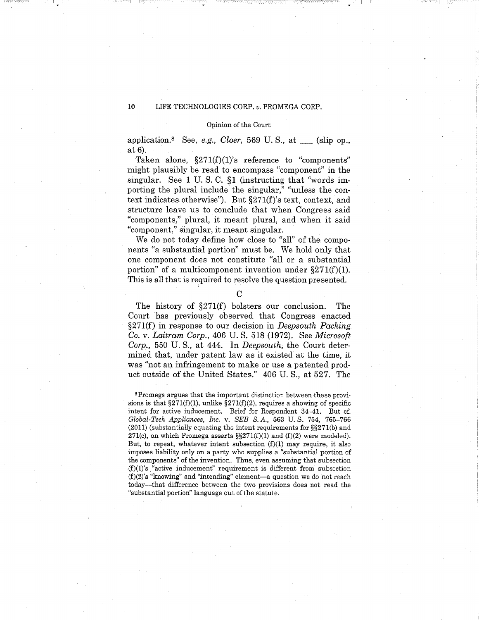#### Opinion of the Court

application.<sup>8</sup> See, *e.g., Cloer*, 569 U.S., at \_\_\_(slip op.,  $at 6$ ).

Taken alone,  $\S271(f)(1)$ 's reference to "components" might plausibly be read to encompass "component" in the singular. See 1 U.S. C. §1 (instructing that "words importing the plural include the singular," "unless the context indicates otherwise"). But §271(f)'s text, context, and structure leave us to conclude that when Congress said "components," plural, it meant plural, and when it said "component," singular, it meant singular.

We do not today define how close to "all" of the components "a substantial portion" must be. We hold only that one component does not constitute "all or a substantial portion" of a multicomponent invention under  $\S 271(f)(1)$ . This is all that is required to resolve the question presented.

 $\mathcal{C}$ 

The history of §271(f) bolsters our conclusion. The Court has previously observed that Congress enacted §27l(f) in response to our decision in *Deepsouth Packing*  Co. v. *Laitram Corp.,* 406 U.S. 518 (1972). See *Microsoft Corp.,* 550 U.S., at 444. In *Deepsouth,* the Court determined that, under patent law as it existed at the time, it was "not an infringement to make or use a patented product outside of the United States." 406 U.S., at 527. The

<sup>8</sup> Promega argues that the important distinction between these provisions is that  $\S271(f)(1)$ , unlike  $\S271(f)(2)$ , requires a showing of specific intent for active inducement. Brief for Respondent 34-41. But cf. *Global-Tech Appliances, Inc.* v. *SEB S.* A., 563 U.S. 754, 765-766 (2011) (substantially equating the intent requirements for §§271(b) and 271(c), on which Promega asserts  $\S$ 271(f)(1) and (f)(2) were modeled). But, to repeat, whatever intent subsection  $(f)(1)$  may require, it also imposes liability only on a party who supplies a "substantial portion of the compqnents" of the invention. Thus, even assuming that subsection (f)(l)'s "active inducement" requirement is different from subsection  $(f)(2)$ 's "knowing" and "intending" element-a question we do not reach today-that difference between the two provisions does not read the "substantial portion" language out of the statute.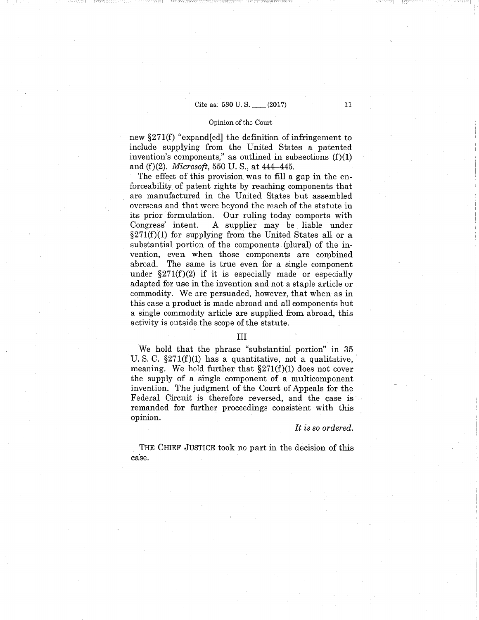# Cite as: 580 U.S. (2017) 11

## Opinion of the Court

new §271(f) "expand[ed] the definition of infringement to include supplying from the United States a patented invention's components," as outlined in subsections  $(f)(1)$ and (f)(2). *Microsoft,* 550 U. S., at 444-445.

The effect of this provision was to fill a gap in the enforceability of patent rights by reaching components that are manufactured in the United States but assembled overseas and that were beyond the reach of the statute in its prior formulation. Our ruling today comports with Congress' intent. A supplier may be liable under  $\S271(f)(1)$  for supplying from the United States all or a substantial portion of the components (plural) of the invention, even when those components are combined abroad. The same is true even for a single component under  $\S 271(f)(2)$  if it is especially made or especially adapted for use in the invention and not a staple article or commodity. We are persuaded, however, that when as in this case a product is made abroad and all components but a single commodity article are supplied from abroad, this activity is outside the scope of the statute.

## III

We hold that the phrase "substantial portion" in 35 U.S. C.  $\S 271(f)(1)$  has a quantitative, not a qualitative, meaning. We hold further that  $\S271(f)(1)$  does not cover the supply of a single component of a multicomponent invention. The judgment of the Court of Appeals for the Federal Circuit is therefore reversed, and the case is remanded for further proceedings consistent with this opinion.

#### *It is so ordered.*

THE CHIEF JUSTICE took no part in the decision of this case.

I I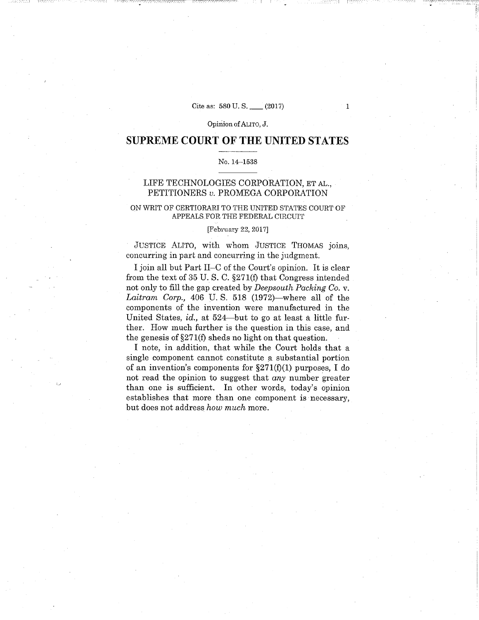Cite as: 580 U.S. (2017) 1

I I

 $\sim$   $\sim$   $\sim$   $\sim$   $\sim$ 

:.--'

Opinion of ALITO, J.

# **SUPREME COURT OF THE UNITED STATES**

## No. 14-1538

## LIFE TECHNOLOGIES CORPORATION, ET AL., PETITIONERS *v.* PROMEGA CORPORATION

## ON WRIT OF CERTIORARI TO THE UNITED STATES COURT OF APPEALS FOR THE FEDERAL CIRCUIT

## [February 22, 2017]

JUSTICE ALITO, with whom JUSTICE THOMAS joins, concurring in part and concurring in the judgment.

I join all but Part II-C of the Court's opinion. It is clear from the text of 35 U.S. C. §271(f) that Congress intended not only to fill the gap created by *Deepsouth Packing Co.* v. Laitram Corp., 406 U.S. 518 (1972)—where all of the components of the invention were manufactured in the United States, id., at 524-but to go at least a little further. How much further is the question in this case, and the genesis of  $\S271(f)$  sheds no light on that question.

I note, in addition, that while the Court holds that a single component cannot constitute a substantial portion of an invention's components for  $\S271(f)(1)$  purposes, I do not read the opinion to suggest that *any* number greater than one is sufficient. In other words, today's opinion establishes that more than one component is necessary, but does not address *how much* more.